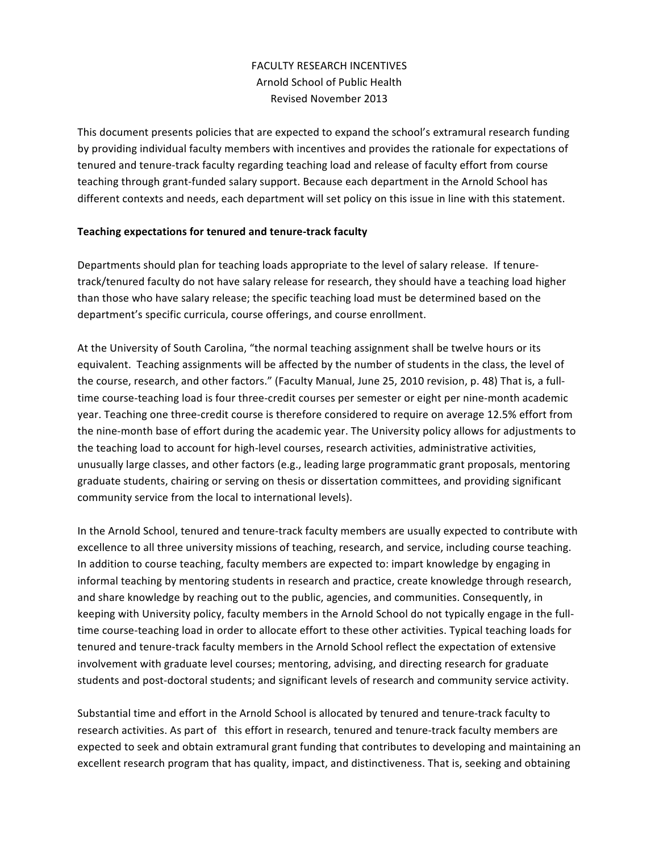# FACULTY RESEARCH INCENTIVES Arnold School of Public Health Revised November 2013

This document presents policies that are expected to expand the school's extramural research funding by providing individual faculty members with incentives and provides the rationale for expectations of tenured and tenure-track faculty regarding teaching load and release of faculty effort from course teaching through grant-funded salary support. Because each department in the Arnold School has different contexts and needs, each department will set policy on this issue in line with this statement.

## **Teaching expectations for tenured and tenure-track faculty**

Departments should plan for teaching loads appropriate to the level of salary release. If tenuretrack/tenured faculty do not have salary release for research, they should have a teaching load higher than those who have salary release; the specific teaching load must be determined based on the department's specific curricula, course offerings, and course enrollment.

At the University of South Carolina, "the normal teaching assignment shall be twelve hours or its equivalent. Teaching assignments will be affected by the number of students in the class, the level of the course, research, and other factors." (Faculty Manual, June 25, 2010 revision, p. 48) That is, a fulltime course-teaching load is four three-credit courses per semester or eight per nine-month academic year. Teaching one three-credit course is therefore considered to require on average 12.5% effort from the nine-month base of effort during the academic year. The University policy allows for adjustments to the teaching load to account for high-level courses, research activities, administrative activities, unusually large classes, and other factors (e.g., leading large programmatic grant proposals, mentoring graduate students, chairing or serving on thesis or dissertation committees, and providing significant community service from the local to international levels).

In the Arnold School, tenured and tenure-track faculty members are usually expected to contribute with excellence to all three university missions of teaching, research, and service, including course teaching. In addition to course teaching, faculty members are expected to: impart knowledge by engaging in informal teaching by mentoring students in research and practice, create knowledge through research, and share knowledge by reaching out to the public, agencies, and communities. Consequently, in keeping with University policy, faculty members in the Arnold School do not typically engage in the fulltime course-teaching load in order to allocate effort to these other activities. Typical teaching loads for tenured and tenure-track faculty members in the Arnold School reflect the expectation of extensive involvement with graduate level courses; mentoring, advising, and directing research for graduate students and post-doctoral students; and significant levels of research and community service activity.

Substantial time and effort in the Arnold School is allocated by tenured and tenure-track faculty to research activities. As part of this effort in research, tenured and tenure-track faculty members are expected to seek and obtain extramural grant funding that contributes to developing and maintaining an excellent research program that has quality, impact, and distinctiveness. That is, seeking and obtaining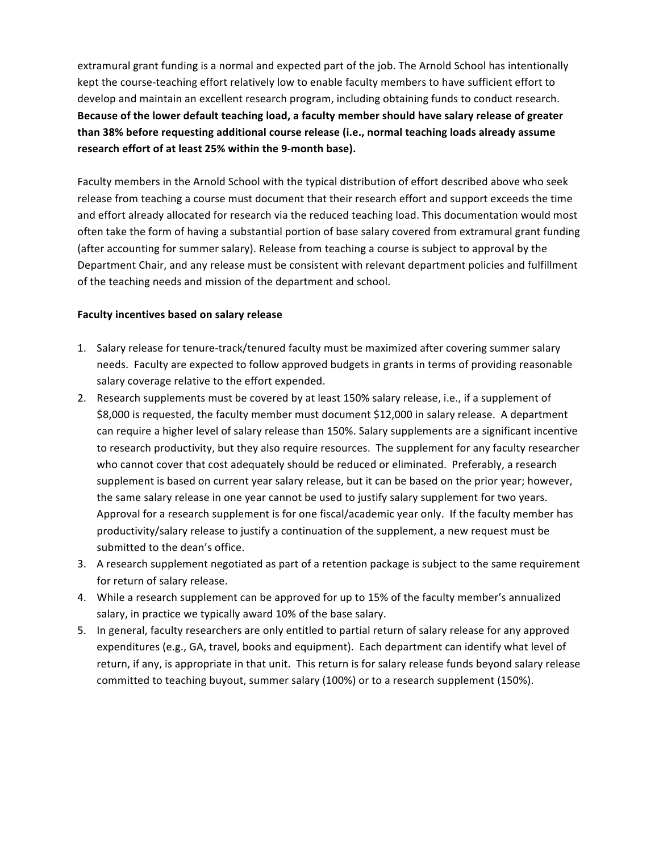extramural grant funding is a normal and expected part of the job. The Arnold School has intentionally kept the course-teaching effort relatively low to enable faculty members to have sufficient effort to develop and maintain an excellent research program, including obtaining funds to conduct research. Because of the lower default teaching load, a faculty member should have salary release of greater than 38% before requesting additional course release (i.e., normal teaching loads already assume research effort of at least 25% within the 9-month base).

Faculty members in the Arnold School with the typical distribution of effort described above who seek release from teaching a course must document that their research effort and support exceeds the time and effort already allocated for research via the reduced teaching load. This documentation would most often take the form of having a substantial portion of base salary covered from extramural grant funding (after accounting for summer salary). Release from teaching a course is subject to approval by the Department Chair, and any release must be consistent with relevant department policies and fulfillment of the teaching needs and mission of the department and school.

#### **Faculty incentives based on salary release**

- 1. Salary release for tenure-track/tenured faculty must be maximized after covering summer salary needs. Faculty are expected to follow approved budgets in grants in terms of providing reasonable salary coverage relative to the effort expended.
- 2. Research supplements must be covered by at least 150% salary release, i.e., if a supplement of \$8,000 is requested, the faculty member must document \$12,000 in salary release. A department can require a higher level of salary release than 150%. Salary supplements are a significant incentive to research productivity, but they also require resources. The supplement for any faculty researcher who cannot cover that cost adequately should be reduced or eliminated. Preferably, a research supplement is based on current year salary release, but it can be based on the prior year; however, the same salary release in one year cannot be used to justify salary supplement for two years. Approval for a research supplement is for one fiscal/academic year only. If the faculty member has productivity/salary release to justify a continuation of the supplement, a new request must be submitted to the dean's office.
- 3. A research supplement negotiated as part of a retention package is subject to the same requirement for return of salary release.
- 4. While a research supplement can be approved for up to 15% of the faculty member's annualized salary, in practice we typically award 10% of the base salary.
- 5. In general, faculty researchers are only entitled to partial return of salary release for any approved expenditures (e.g., GA, travel, books and equipment). Each department can identify what level of return, if any, is appropriate in that unit. This return is for salary release funds beyond salary release committed to teaching buyout, summer salary (100%) or to a research supplement (150%).